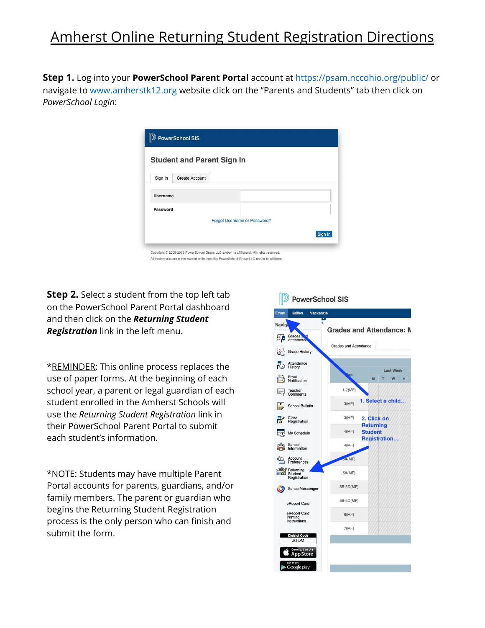## Amherst Online Returning Student Registration Directions

**Step 1.** Log into your **PowerSchool Parent Portal** account at https://psam.nccohio.org/public/ or navigate to www.amherstk12.org website click on the "Parents and Students" tab then click on *PowerSchool Login*:

|          | <b>Student and Parent Sign In</b> |                              |         |
|----------|-----------------------------------|------------------------------|---------|
| Sign In  | Create Account                    |                              |         |
| Username |                                   |                              |         |
| Password |                                   |                              |         |
|          |                                   | Forgot Username or Password? |         |
|          |                                   |                              | Sign In |

**Step 2.** Select a student from the top left tab on the PowerSchool Parent Portal dashboard and then click on the *Returning Student Registration* link in the left menu.

\*REMINDER: This online process replaces the use of paper forms. At the beginning of each school year, a parent or legal guardian of each student enrolled in the Amherst Schools will use the *Returning Student Registration* link in their PowerSchool Parent Portal to submit each student's information.

\*NOTE: Students may have multiple Parent Portal accounts for parents, guardians, and/or family members. The parent or guardian who begins the Returning Student Registration process is the only person who can finish and submit the form.

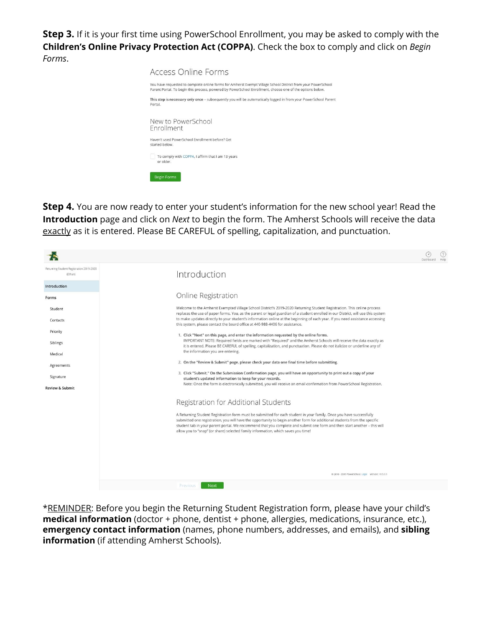**Step 3.** If it is your first time using PowerSchool Enrollment, you may be asked to comply with the **Children's Online Privacy Protection Act (COPPA)**. Check the box to comply and click on *Begin Forms*.



**Step 4.** You are now ready to enter your student's information for the new school year! Read the **Introduction** page and click on *Next* to begin the form. The Amherst Schools will receive the data exactly as it is entered. Please BE CAREFUL of spelling, capitalization, and punctuation.

|                                                     |                                                                                                                                                                                                                                                                                                                                                                                                                                                                   | Dashboard |  |
|-----------------------------------------------------|-------------------------------------------------------------------------------------------------------------------------------------------------------------------------------------------------------------------------------------------------------------------------------------------------------------------------------------------------------------------------------------------------------------------------------------------------------------------|-----------|--|
| Returning Student Registration 2019-2020<br>(Ethan) | Introduction                                                                                                                                                                                                                                                                                                                                                                                                                                                      |           |  |
| Introduction                                        |                                                                                                                                                                                                                                                                                                                                                                                                                                                                   |           |  |
| Forms                                               | Online Registration                                                                                                                                                                                                                                                                                                                                                                                                                                               |           |  |
| Student                                             | Welcome to the Amherst Exempted Village School District's 2019-2020 Returning Student Registration. This online process<br>replaces the use of paper forms. You, as the parent or legal guardian of a student enrolled in our District, will use this system                                                                                                                                                                                                      |           |  |
| Contacts                                            | to make updates directly to your student's information online at the beginning of each year. If you need assistance accessing<br>this system, please contact the board office at 440-988-4406 for assistance.                                                                                                                                                                                                                                                     |           |  |
| Priority                                            | 1. Click "Next" on this page, and enter the information requested by the online forms.<br>IMPORTANT NOTE: Required fields are marked with "Required" and the Amherst Schools will receive the data exactly as                                                                                                                                                                                                                                                     |           |  |
| Siblings                                            | it is entered. Please BE CAREFUL of spelling, capitalization, and punctuation. Please do not italicize or underline any of<br>the information you are entering.                                                                                                                                                                                                                                                                                                   |           |  |
| Medical<br>Agreements                               | 2. On the "Review & Submit" page, please check your data one final time before submitting.                                                                                                                                                                                                                                                                                                                                                                        |           |  |
| Signature                                           | 3. Click "Submit." On the Submission Confirmation page, you will have an opportunity to print out a copy of your<br>student's updated information to keep for your records.                                                                                                                                                                                                                                                                                       |           |  |
| <b>Review &amp; Submit</b>                          | Note: Once the form is electronically submitted, you will receive an email confirmation from PowerSchool Registration.                                                                                                                                                                                                                                                                                                                                            |           |  |
|                                                     | Registration for Additional Students                                                                                                                                                                                                                                                                                                                                                                                                                              |           |  |
|                                                     | A Returning Student Registration form must be submitted for each student in your family. Once you have successfully<br>submitted one registration, you will have the opportunity to begin another form for additional students from the specific<br>student tab in your parent portal. We recommend that you complete and submit one form and then start another - this will<br>allow you to "snap" (or share) selected family information, which saves you time! |           |  |
|                                                     |                                                                                                                                                                                                                                                                                                                                                                                                                                                                   |           |  |
|                                                     |                                                                                                                                                                                                                                                                                                                                                                                                                                                                   |           |  |
|                                                     | @ 2010 - 2019 PowerSchool, Legal Version: 19.5.3.1                                                                                                                                                                                                                                                                                                                                                                                                                |           |  |
|                                                     | <b>Next</b><br>Previous                                                                                                                                                                                                                                                                                                                                                                                                                                           |           |  |

\*REMINDER: Before you begin the Returning Student Registration form, please have your child's **medical information** (doctor + phone, dentist + phone, allergies, medications, insurance, etc.), **emergency contact information** (names, phone numbers, addresses, and emails), and **sibling information** (if attending Amherst Schools).